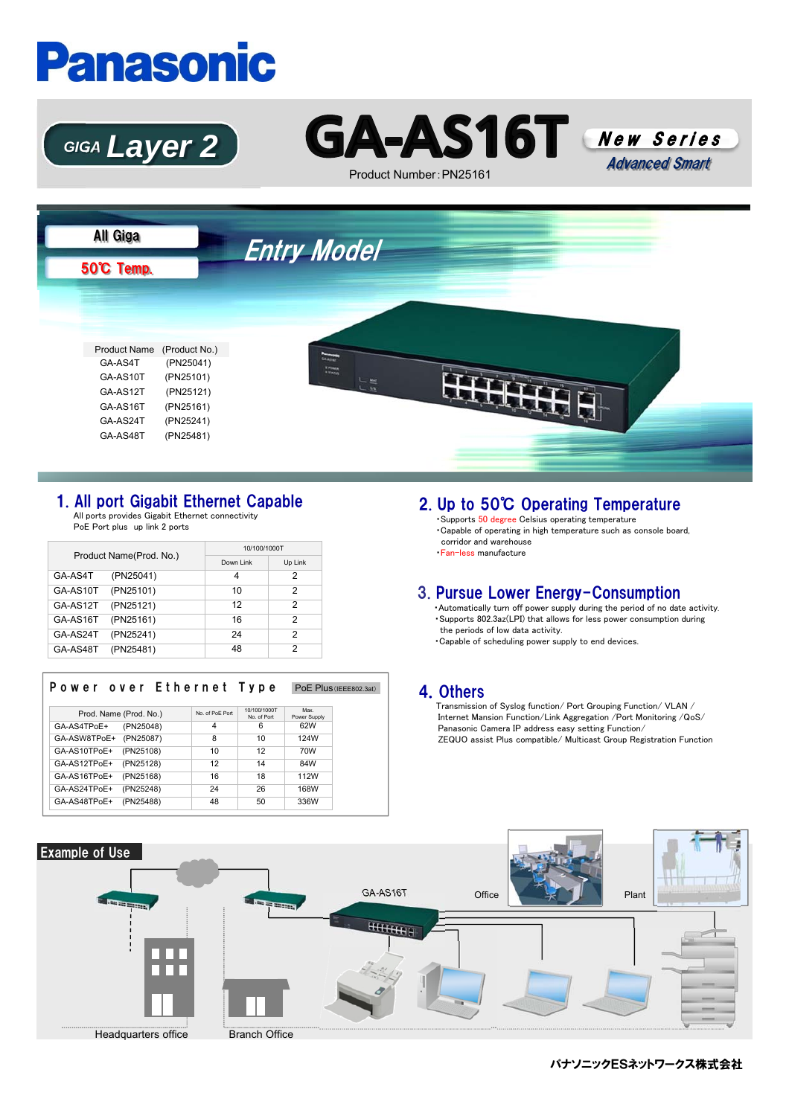# **Panasonic**





Product Number:PN25161





### 1. All port Gigabit Ethernet Capable

All ports provides Gigabit Ethernet connectivity PoE Port plus up link 2 ports

| Product Name(Prod. No.) |           | 10/100/1000T |         |  |
|-------------------------|-----------|--------------|---------|--|
|                         |           | Down Link    | Up Link |  |
| GA-AS4T                 | (PN25041) | 4            | っ       |  |
| GA-AS10T                | (PN25101) | 10           | 2       |  |
| GA-AS12T                | (PN25121) | 12           | 2       |  |
| GA-AS16T                | (PN25161) | 16           | っ       |  |
| GA-AS24T                | (PN25241) | 24           | っ       |  |
| GA-AS48T                | (PN25481) | 48           | っ       |  |

| Power over Ethernet Type  |                 |                             | PoE Plus (IEEE802.3at) |
|---------------------------|-----------------|-----------------------------|------------------------|
| Prod. Name (Prod. No.)    | No. of PoE Port | 10/100/1000T<br>No. of Port | Max<br>Power Supply    |
| GA-AS4TPoE+<br>(PN25048)  | 4               | 6                           | 62W                    |
| (PN25087)<br>GA-ASW8TPoE+ | 8               | 10                          | 124W                   |
| GA-AS10TPoE+<br>(PN25108) | 10              | 12                          | 70W                    |
| (PN25128)<br>GA-AS12TPoE+ | 12              | 14                          | 84W                    |
| GA-AS16TPoE+<br>(PN25168) | 16              | 18                          | 112W                   |
| (PN25248)<br>GA-AS24TPoE+ | 24              | 26                          | 168W                   |
| (PN25488)<br>GA-AS48TPoE+ | 48              | 50                          | 336W                   |

## 2. Up to 50℃ Operating Temperature

・Supports 50 degree Celsius operating temperature ・Capable of operating in high temperature such as console board, corridor and warehouse ・Fan-less manufacture

#### 3. Pursue Lower Energy-Consumption

・Automatically turn off power supply during the period of no date activity. ・Supports 802.3az(LPI) that allows for less power consumption during the periods of low data activity.

・Capable of scheduling power supply to end devices.

#### 4.Others

Transmission of Syslog function/ Port Grouping Function/ VLAN / Internet Mansion Function/Link Aggregation /Port Monitoring /QoS/ Panasonic Camera IP address easy setting Function/ ZEQUO assist Plus compatible/ Multicast Group Registration Function